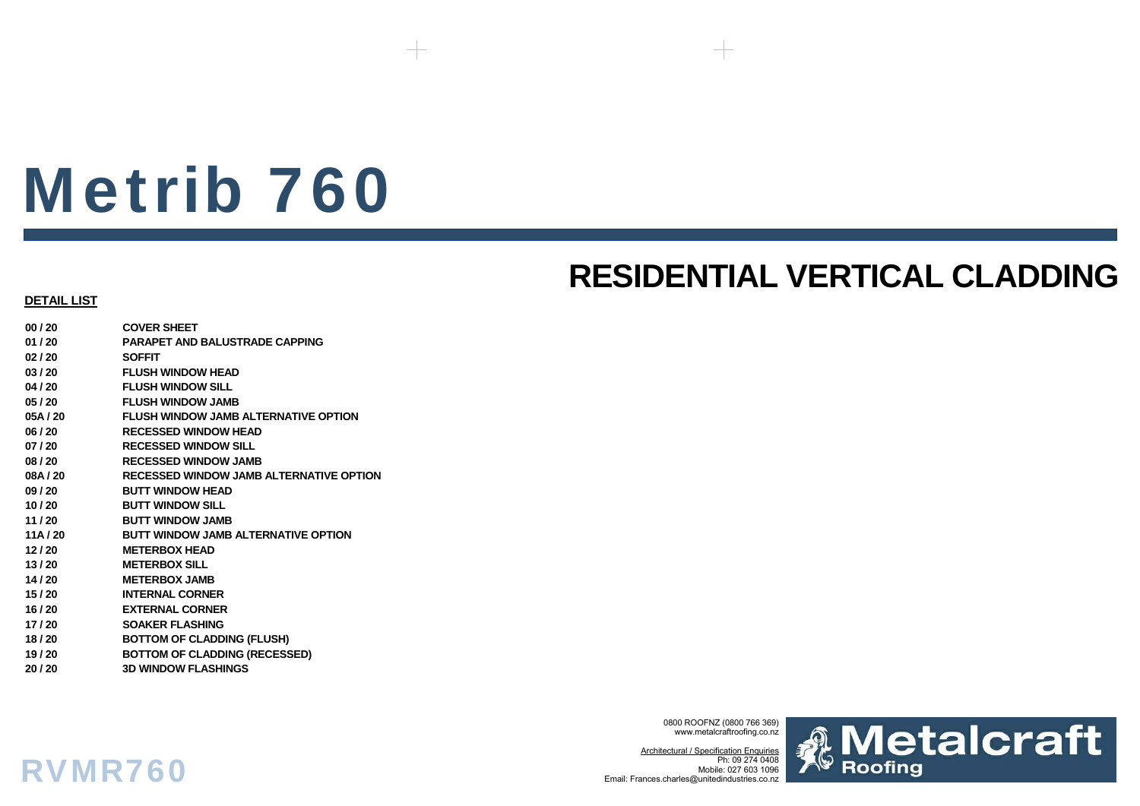# Metrib 760

# **RESIDENTIAL VERTICAL CLADDING**

### **DETAIL LIST**

RVMR760

**00 / 20 COVER SHEET01 / 20 PARAPET AND BALUSTRADE CAPPING02 / 20 SOFFIT03 / 20 FLUSH WINDOW HEAD04 / 20 FLUSH WINDOW SILL05 / 20 FLUSH WINDOW JAMB05A / 20 FLUSH WINDOW JAMB ALTERNATIVE OPTION06 / 20 RECESSED WINDOW HEAD07 / 20 RECESSED WINDOW SILL08 / 20 RECESSED WINDOW JAMB08A / 20 RECESSED WINDOW JAMB ALTERNATIVE OPTION09 / 20 BUTT WINDOW HEAD10 / 20 BUTT WINDOW SILL11 / 20 BUTT WINDOW JAMB11A / 20 BUTT WINDOW JAMB ALTERNATIVE OPTION 12 / 20 METERBOX HEAD13 / 20 METERBOX SILL14 / 20 METERBOX JAMB15 / 20 INTERNAL CORNER16 / 20 EXTERNAL CORNER17 / 20 SOAKER FLASHING 18 / 20 BOTTOM OF CLADDING (FLUSH) 19 / 20 BOTTOM OF CLADDING (RECESSED) 20 / 20 3D WINDOW FLASHINGS**

> 0800 ROOFNZ (0800 766 369) www.metalcraftroofing.co.nz

Architectural / Specification Enquiries Ph: 09 274 0408 Mobile: 027 603 1096Email: Frances.charles@unitedindustries.co.nz

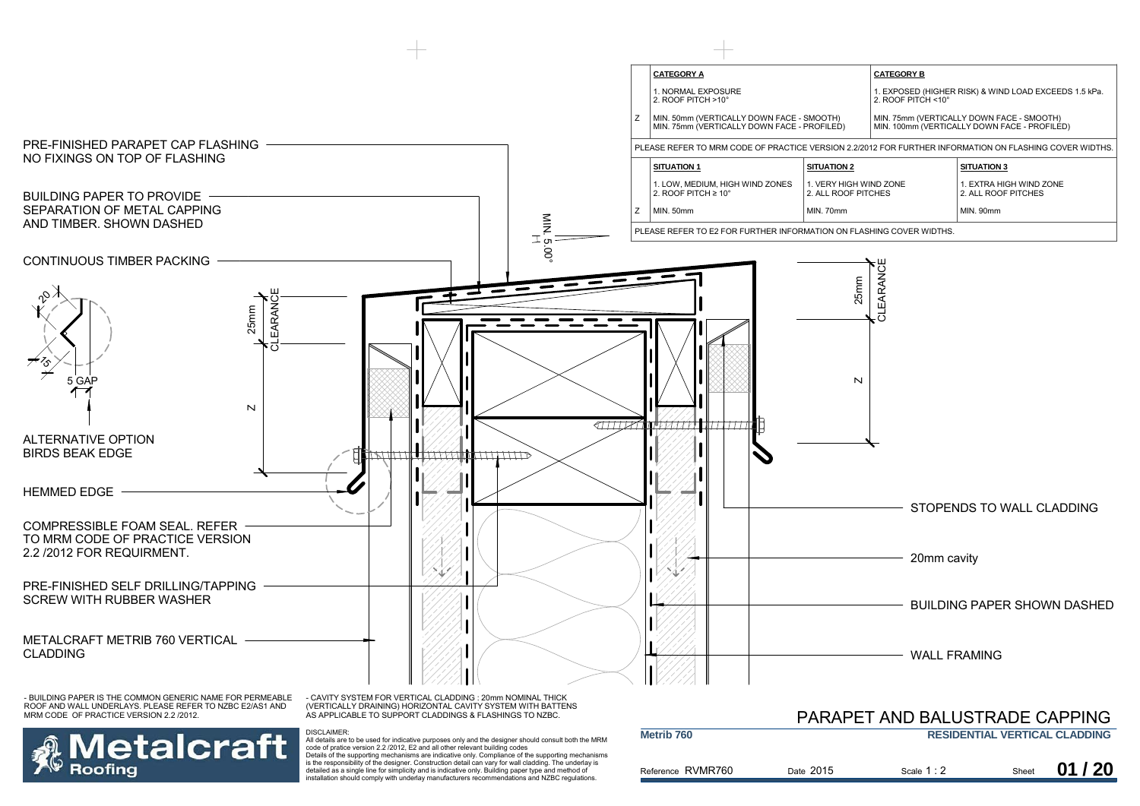

**letalcraft** Roofina

AS APPLICABLE TO SUPPORT CLADDINGS & FLASHINGS TO NZBC.

DISCLAIMER:

|                       |           | PARAPET AND BALUSTRADE CAPPING |       |                                      |
|-----------------------|-----------|--------------------------------|-------|--------------------------------------|
| Metrib <sub>760</sub> |           |                                |       | <b>RESIDENTIAL VERTICAL CLADDING</b> |
| Reference RVMR760     | Date 2015 | Scale $1:2$                    | Sheet | 01/20                                |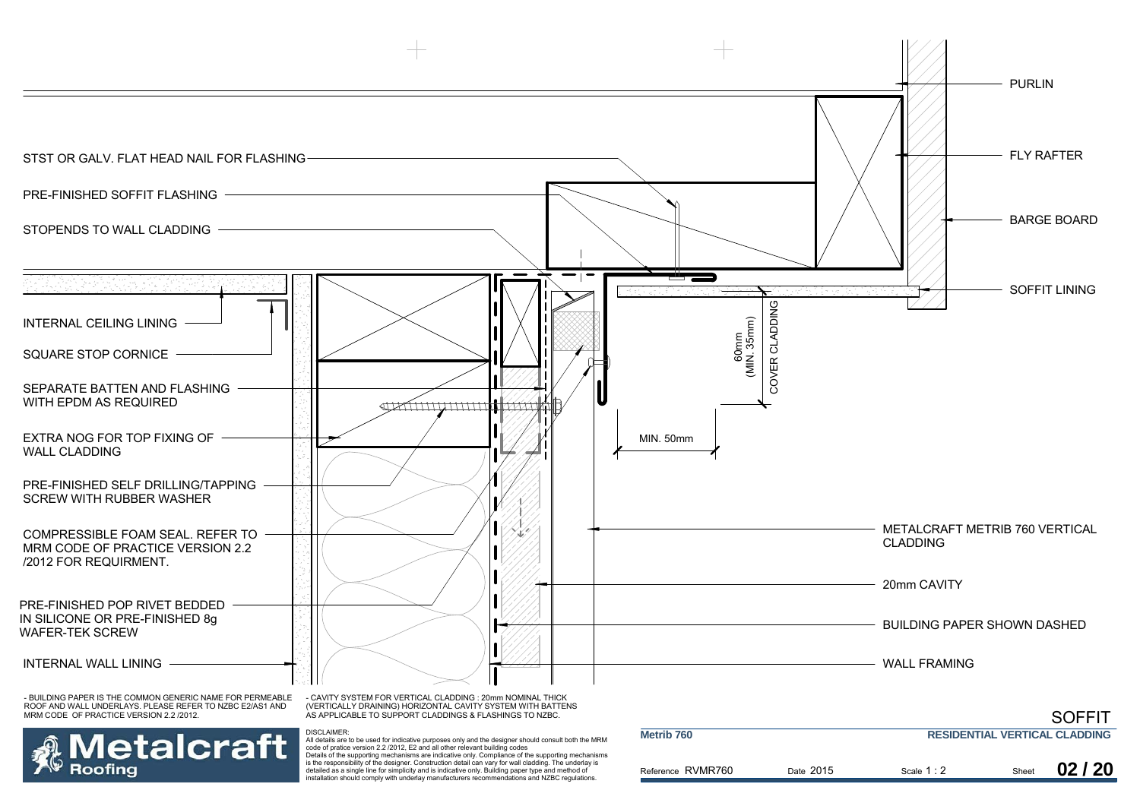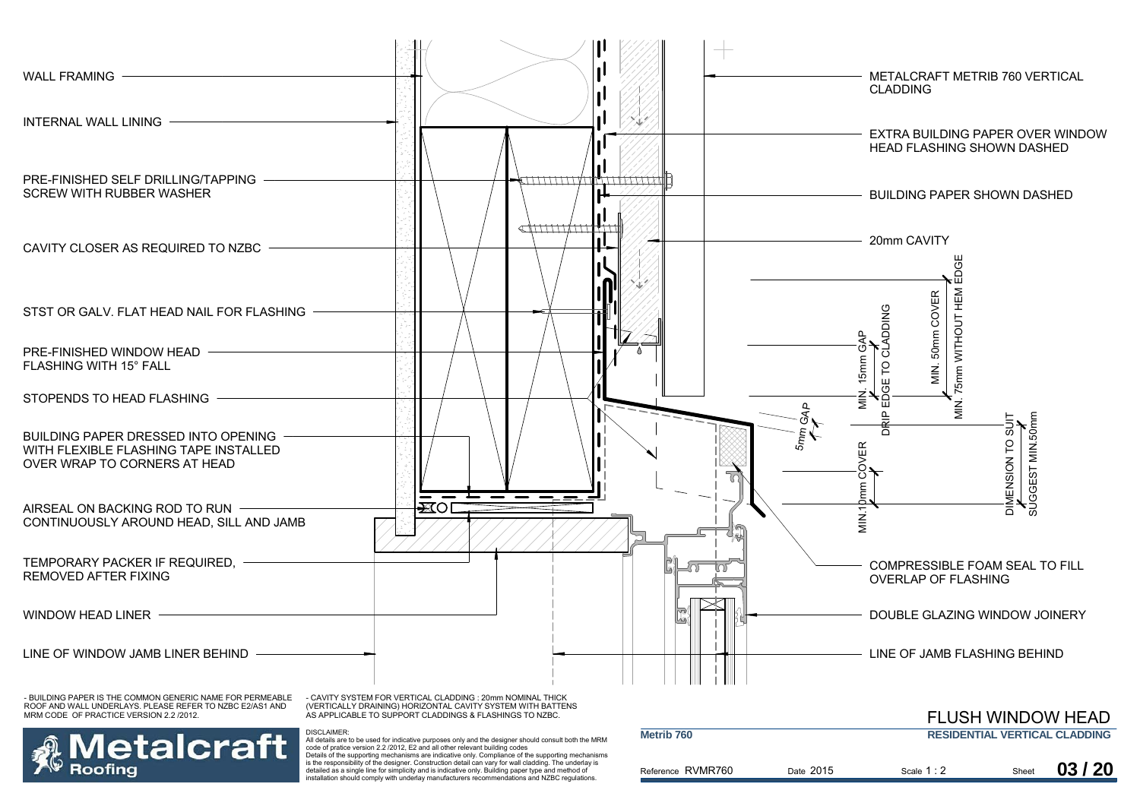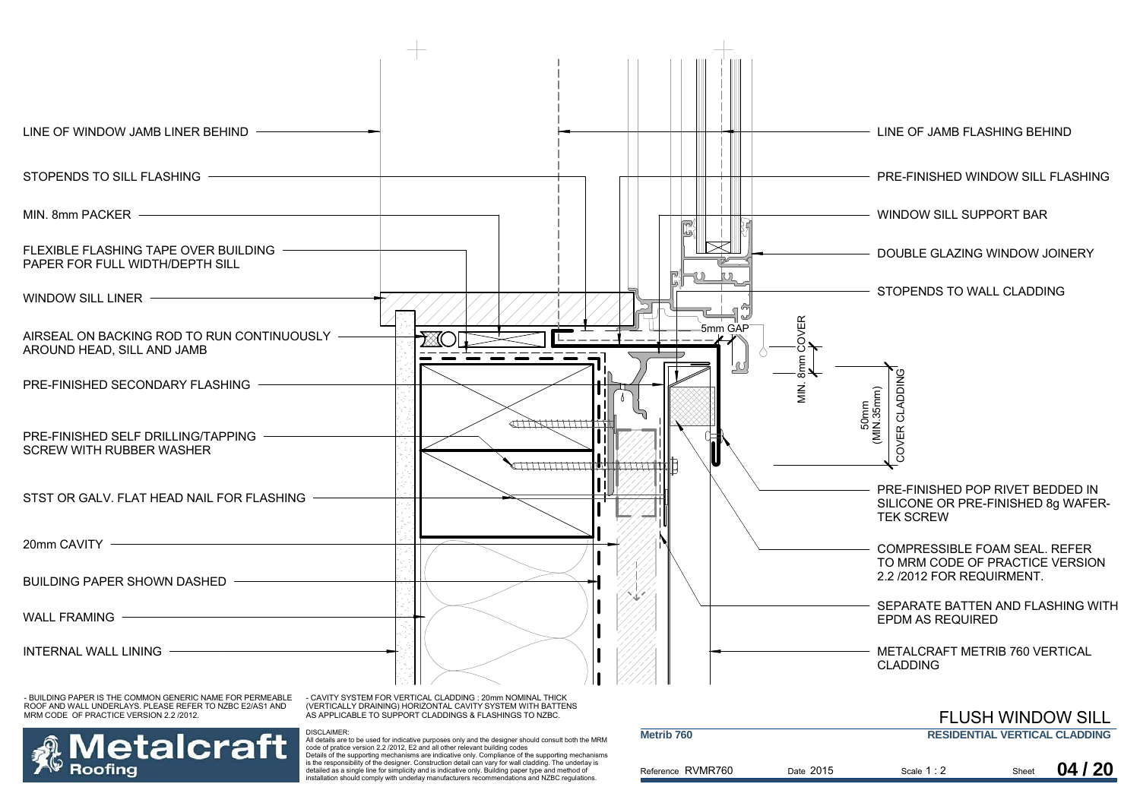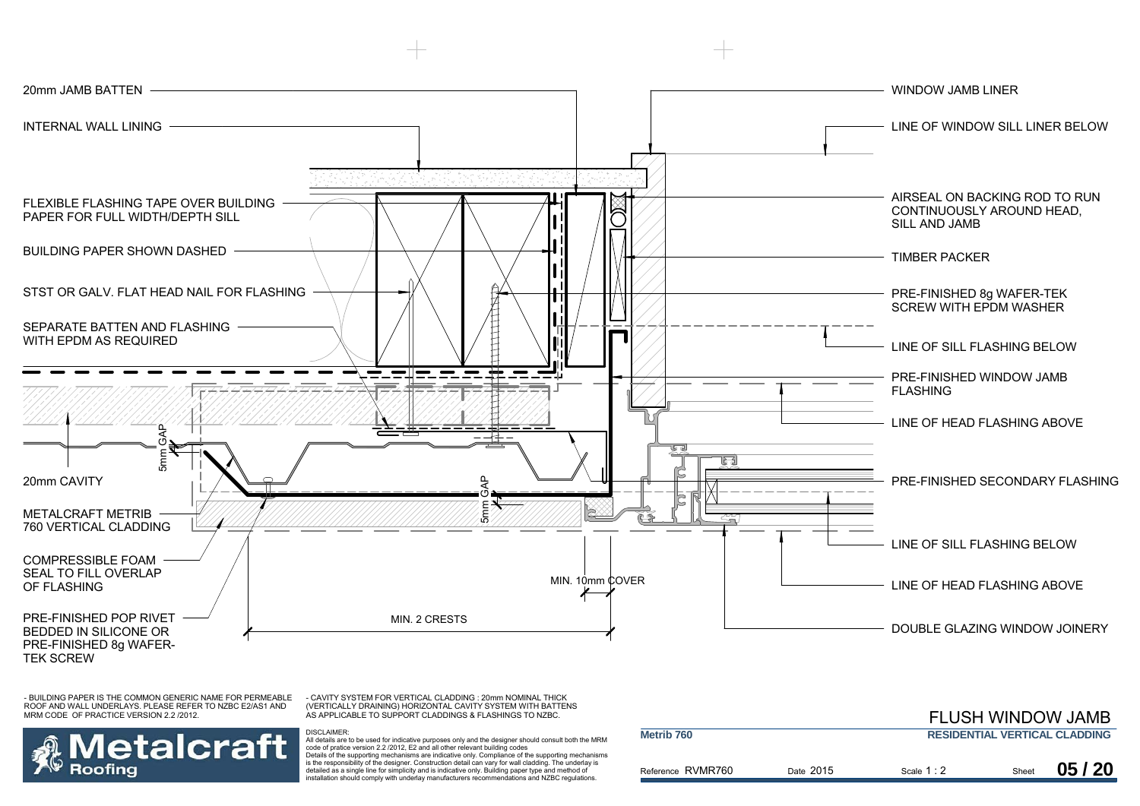

- CAVITY SYSTEM FOR VERTICAL CLADDING : 20mm NOMINAL THICK (VERTICALLY DRAINING) HORIZONTAL CAVITY SYSTEM WITH BATTENS AS APPLICABLE TO SUPPORT CLADDINGS & FLASHINGS TO NZBC.



|                       |           |             |       | <b>FLUSH WINDOW JAMB</b>             |
|-----------------------|-----------|-------------|-------|--------------------------------------|
| Metrib <sub>760</sub> |           |             |       | <b>RESIDENTIAL VERTICAL CLADDING</b> |
| Reference RVMR760     | Date 2015 | Scale $1:2$ | Sheet | 05/20                                |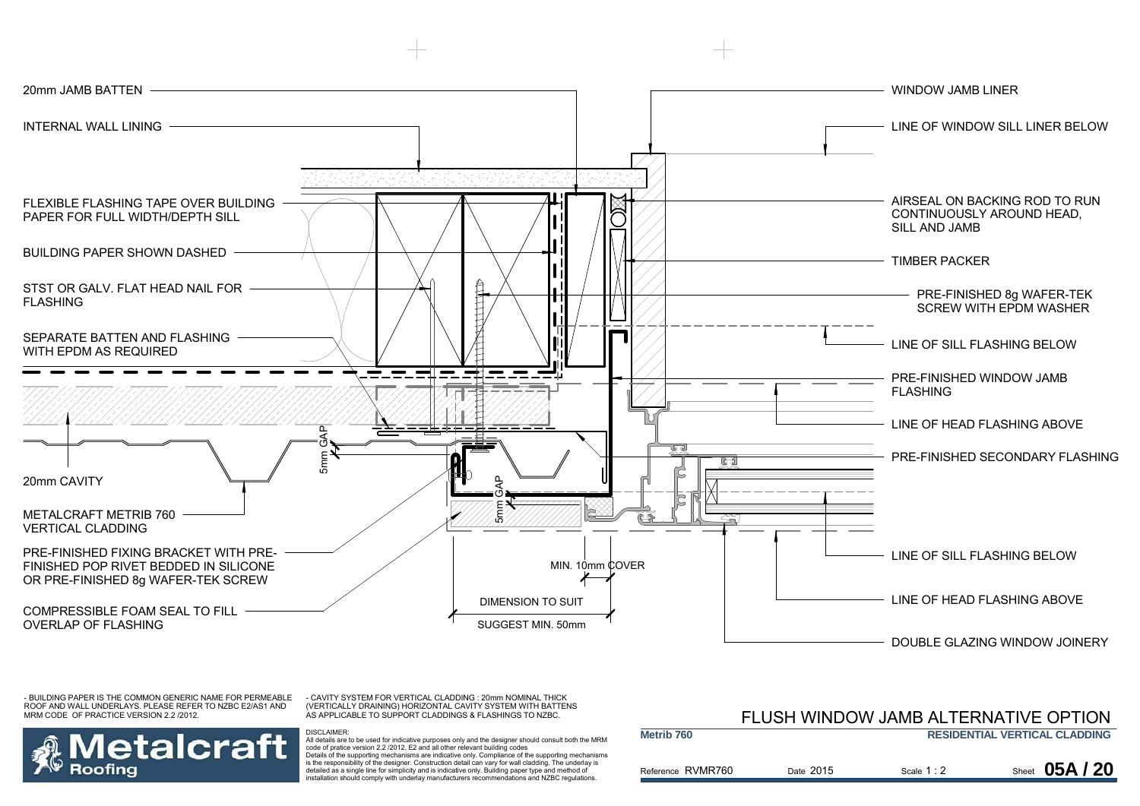

- CAVITY SYSTEM FOR VERTICAL CLADDING : 20mm NOMINAL THICK (VERTICALLY DRAINING) HORIZONTAL CAVITY SYSTEM WITH BATTENS AS APPLICABLE TO SUPPORT CLADDINGS & FLASHINGS TO NZBC.



DISCLAIMER:

 All details are to be used for indicative purposes only and the designer should consult both the MRM code of pratice version 2.2 /2012, E2 and all other relevant building codes Details of the supporting mechanisms are indicative only. Compliance of the supporting mechanisms is the responsibility of the designer. Construction detail can vary for wall cladding. The underlay is detailed as a single line for simplicity and is indicative only. Building paper type and method of installation should comply with underlay manufacturers recommendations and NZBC regulations.

### Reference RVMR760 **Metrib 760RESIDENTIAL VERTICAL CLADDING** Date 2015 Scale  $1:2$ FLUSH WINDOW JAMB ALTERNATIVE OPTION**Sheet 05A/20**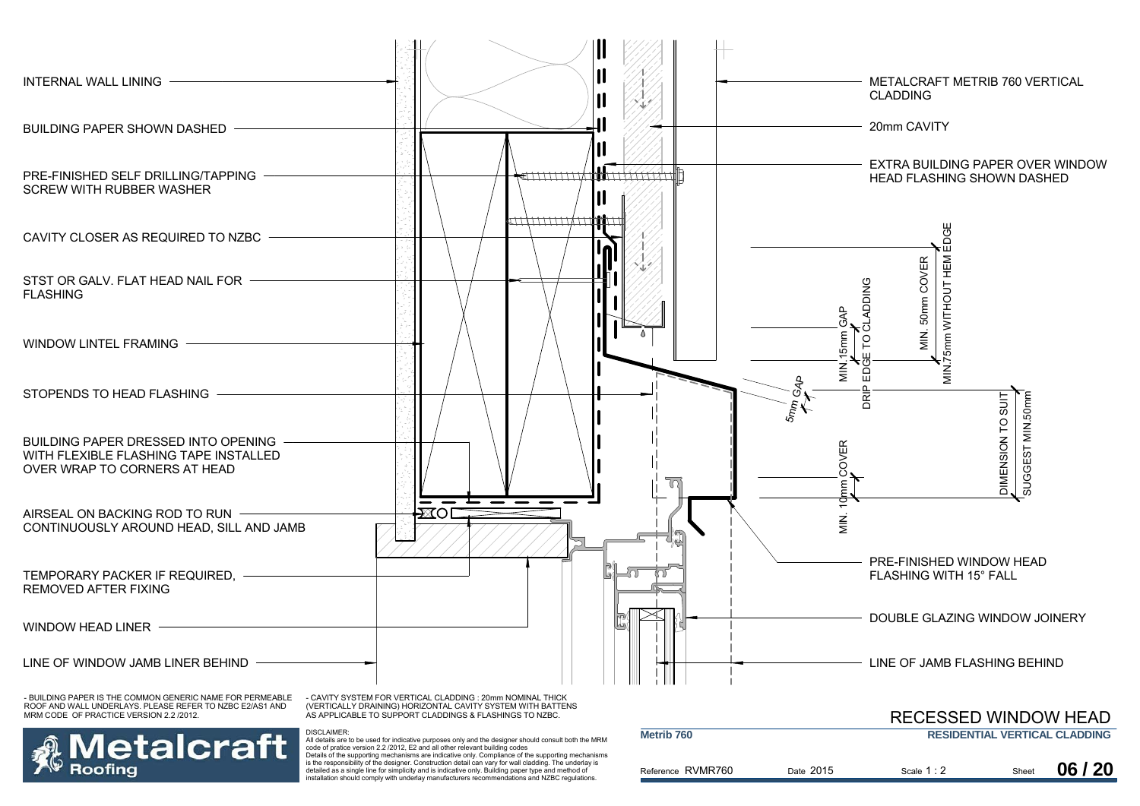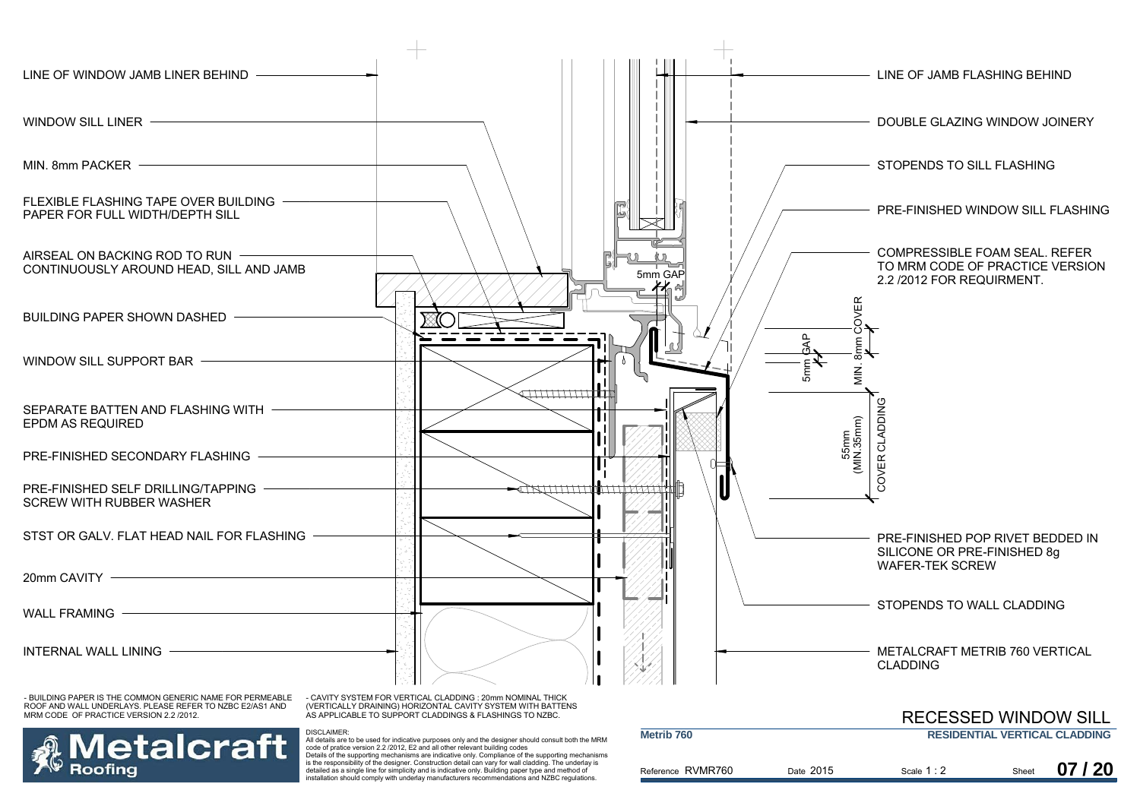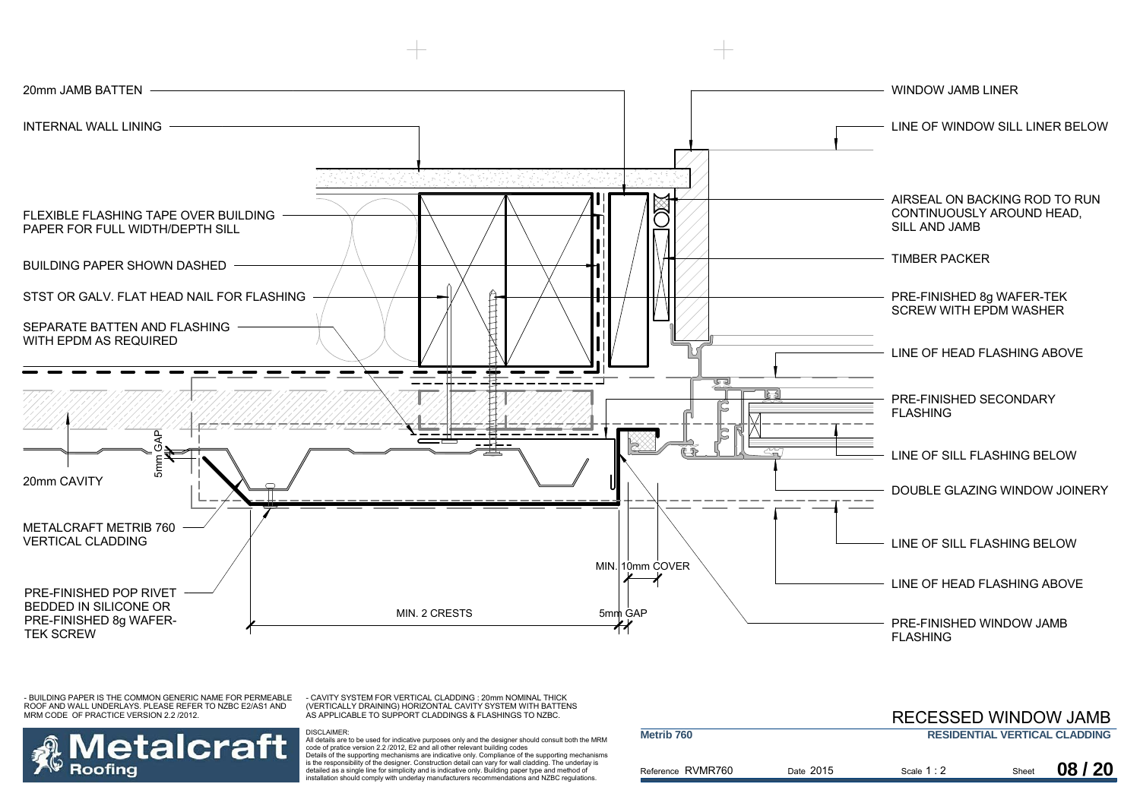![](_page_9_Figure_0.jpeg)

- CAVITY SYSTEM FOR VERTICAL CLADDING : 20mm NOMINAL THICK (VERTICALLY DRAINING) HORIZONTAL CAVITY SYSTEM WITH BATTENS AS APPLICABLE TO SUPPORT CLADDINGS & FLASHINGS TO NZBC.

DISCLAIMER:

![](_page_9_Picture_3.jpeg)

|                       |           | RECESSED WINDOW JAMB |       |                                      |
|-----------------------|-----------|----------------------|-------|--------------------------------------|
| Metrib <sub>760</sub> |           |                      |       | <b>RESIDENTIAL VERTICAL CLADDING</b> |
| Reference RVMR760     | Date 2015 | Scale $1:2$          | Sheet | 08/20                                |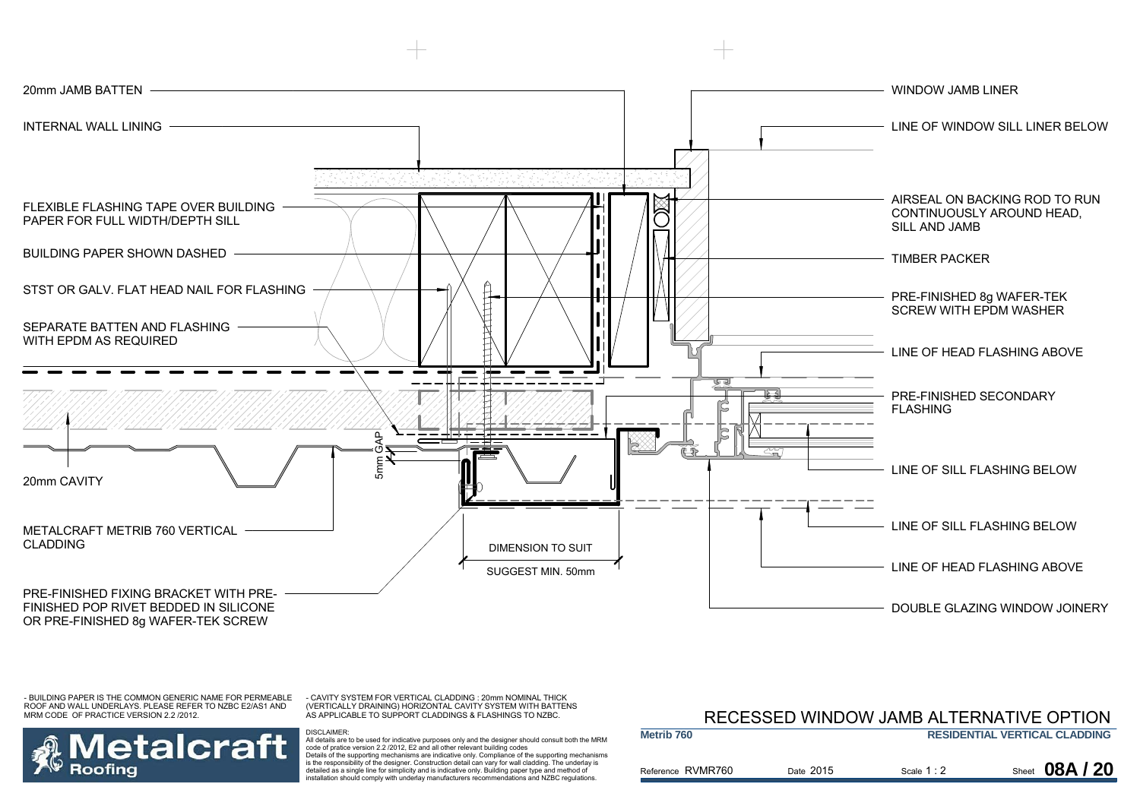![](_page_10_Figure_0.jpeg)

- CAVITY SYSTEM FOR VERTICAL CLADDING : 20mm NOMINAL THICK (VERTICALLY DRAINING) HORIZONTAL CAVITY SYSTEM WITH BATTENS AS APPLICABLE TO SUPPORT CLADDINGS & FLASHINGS TO NZBC.

DISCLAIMER:

## etalcraft Roofina

 All details are to be used for indicative purposes only and the designer should consult both the MRM code of pratice version 2.2 /2012, E2 and all other relevant building codes Details of the supporting mechanisms are indicative only. Compliance of the supporting mechanisms is the responsibility of the designer. Construction detail can vary for wall cladding. The underlay is detailed as a single line for simplicity and is indicative only. Building paper type and method of installation should comply with underlay manufacturers recommendations and NZBC regulations.

### Reference RVMR760 **Metrib 760RESIDENTIAL VERTICAL CLADDING** Date 2015 Scale  $1:2$ RECESSED WINDOW JAMB ALTERNATIVE OPTION**Sheet 08A/20**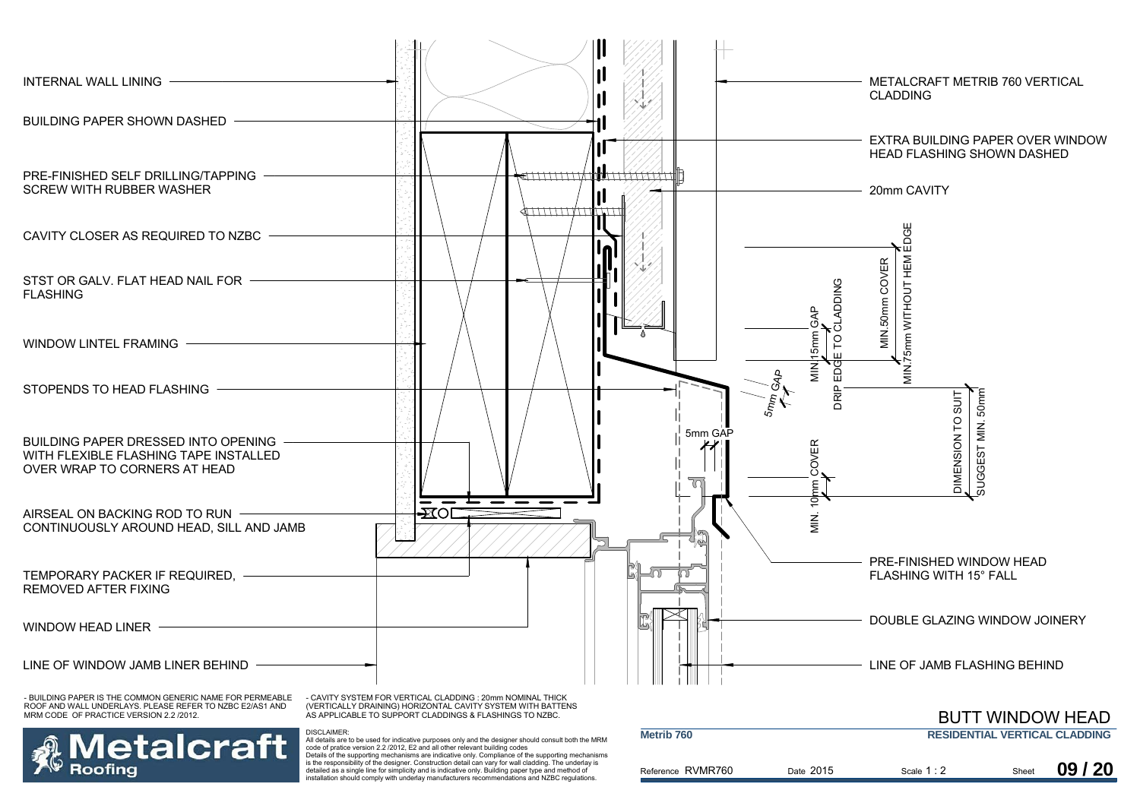![](_page_11_Figure_0.jpeg)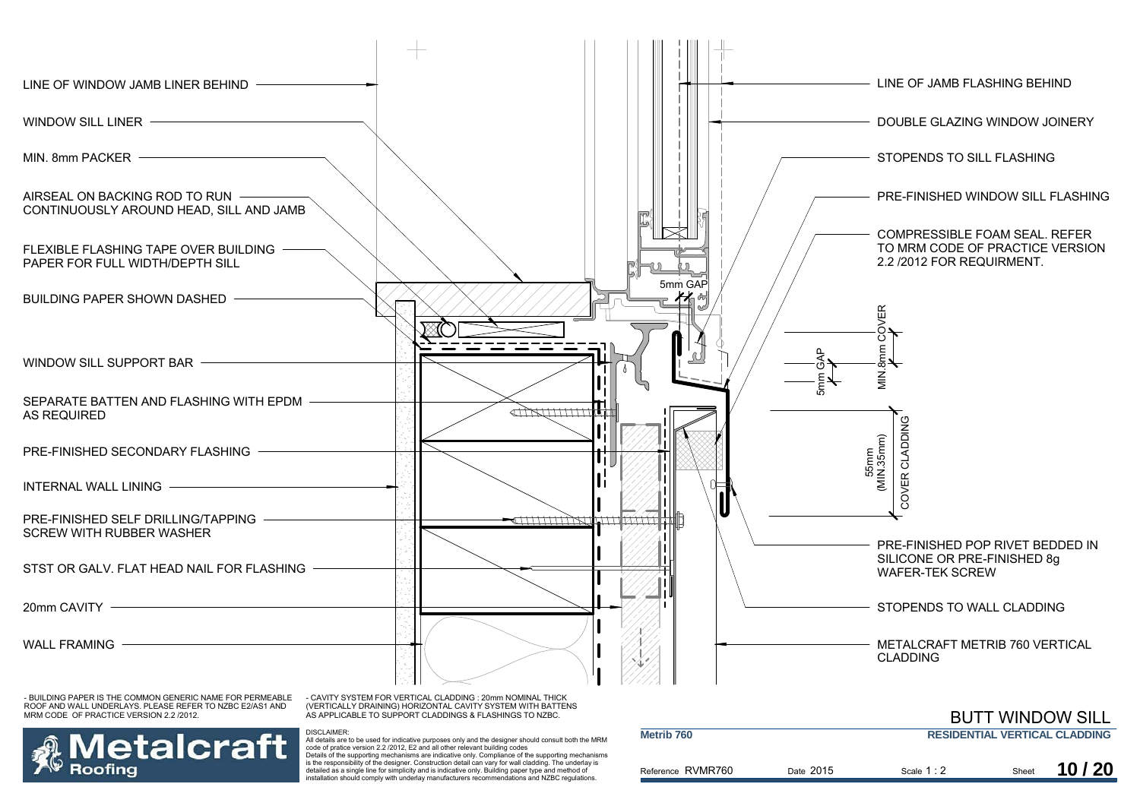![](_page_12_Figure_0.jpeg)

detailed as a single line for simplicity and is indicative only. Building paper type and method of installation should comply with underlay manufacturers recommendations and NZBC regulations.

Scale 1 : 2 Sheet **10 / 20**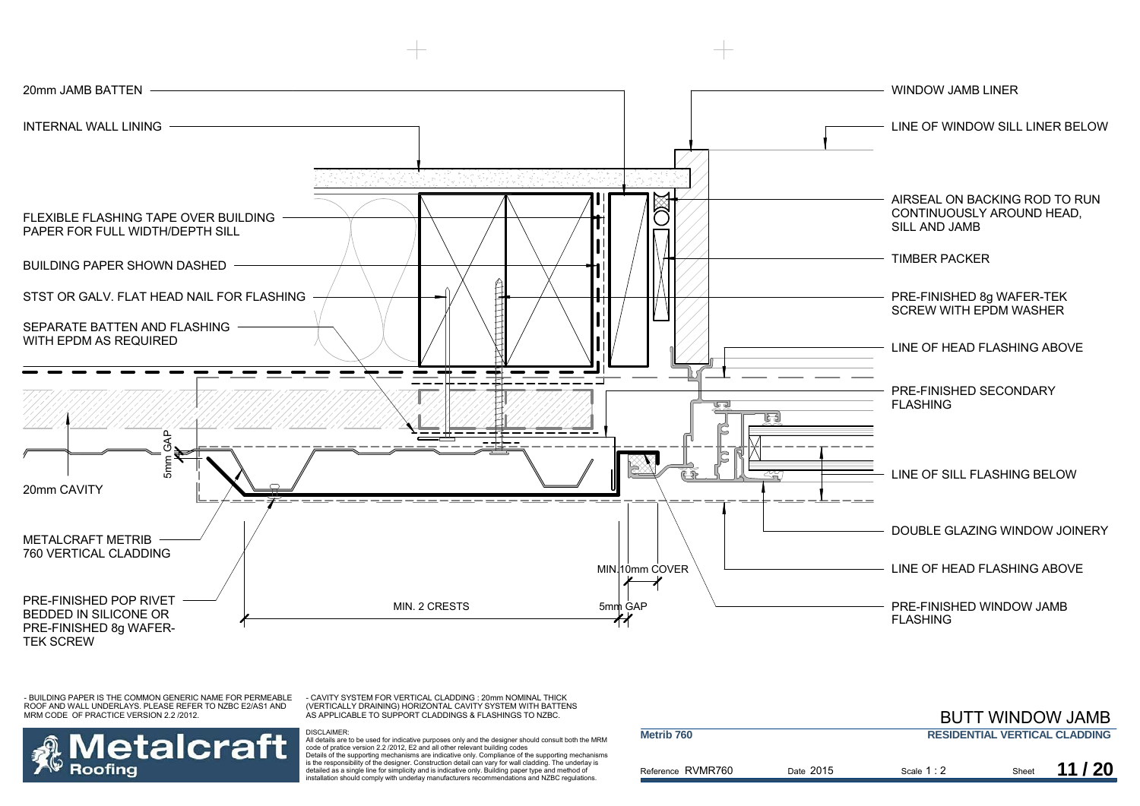![](_page_13_Figure_0.jpeg)

- CAVITY SYSTEM FOR VERTICAL CLADDING : 20mm NOMINAL THICK (VERTICALLY DRAINING) HORIZONTAL CAVITY SYSTEM WITH BATTENS AS APPLICABLE TO SUPPORT CLADDINGS & FLASHINGS TO NZBC.

![](_page_13_Picture_3.jpeg)

![](_page_13_Figure_5.jpeg)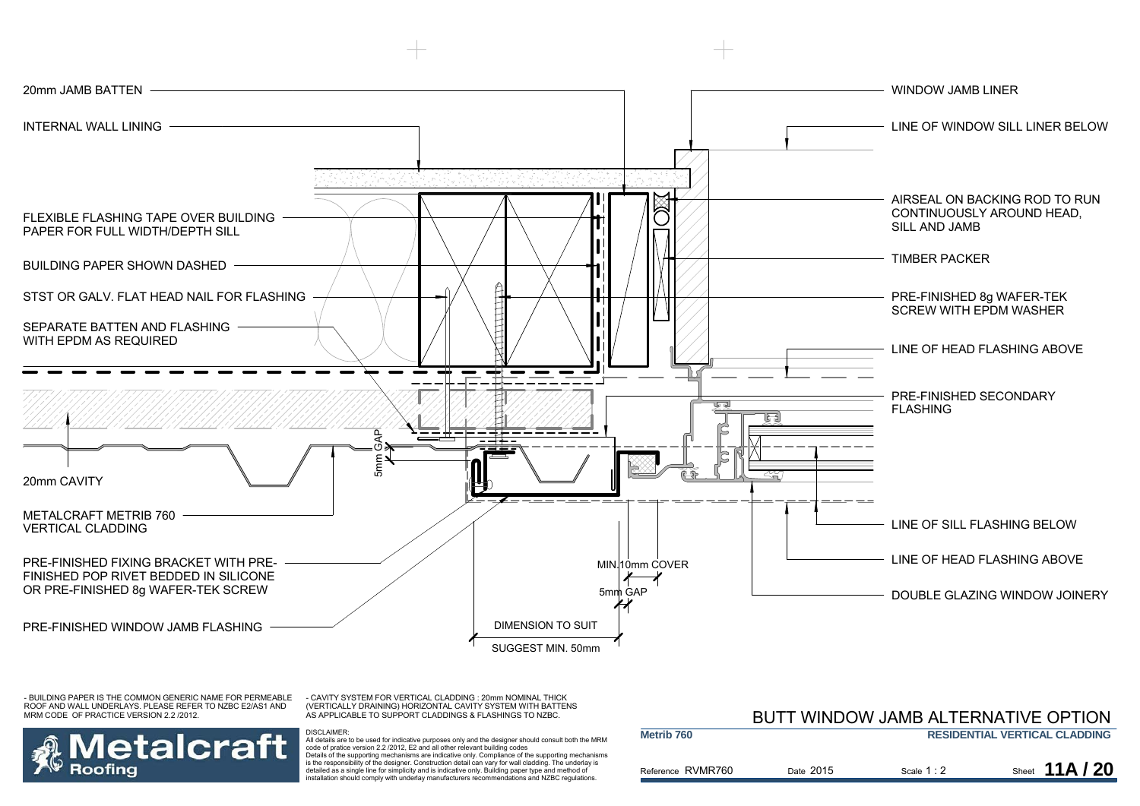![](_page_14_Figure_0.jpeg)

- CAVITY SYSTEM FOR VERTICAL CLADDING : 20mm NOMINAL THICK (VERTICALLY DRAINING) HORIZONTAL CAVITY SYSTEM WITH BATTENS AS APPLICABLE TO SUPPORT CLADDINGS & FLASHINGS TO NZBC.

DISCLAIMER:

![](_page_14_Picture_3.jpeg)

|                   | BUTT WINDOW JAMB ALTERNATIVE OPTION |             |                                      |  |
|-------------------|-------------------------------------|-------------|--------------------------------------|--|
| Metrib 760        |                                     |             | <b>RESIDENTIAL VERTICAL CLADDING</b> |  |
| Reference RVMR760 | Date 2015                           | Scale $1:2$ | Sheet $11A/20$                       |  |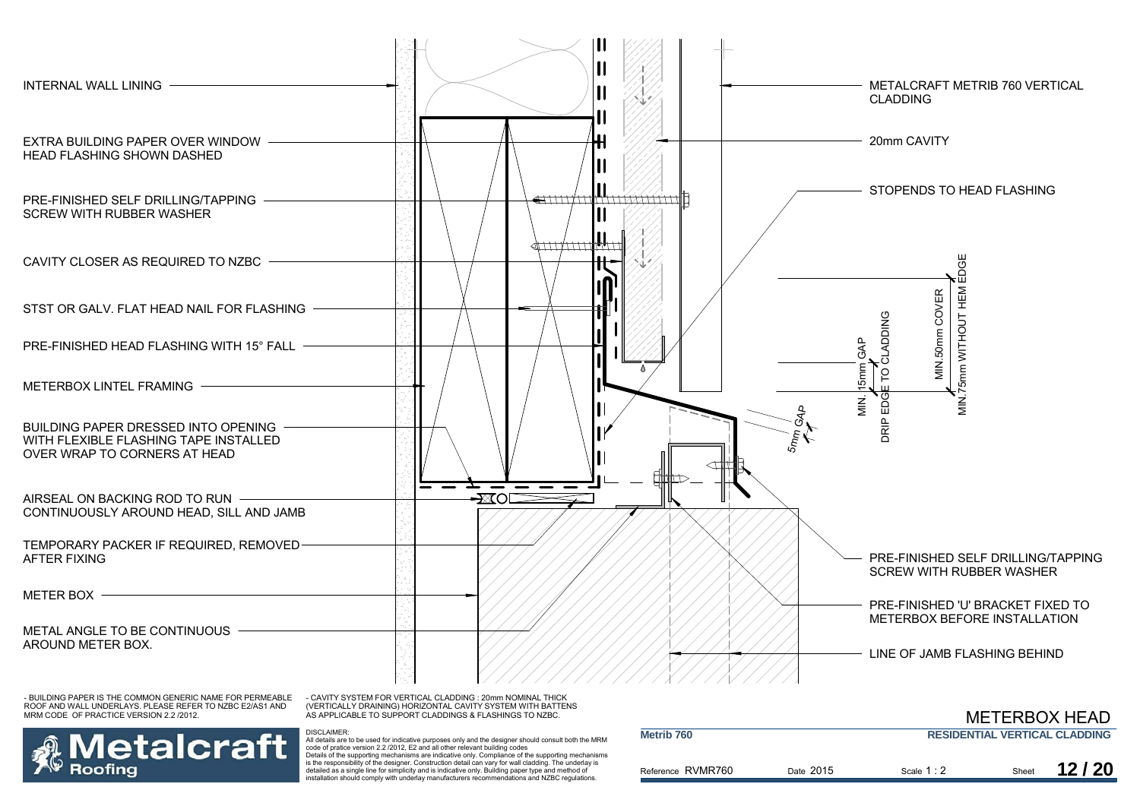![](_page_15_Figure_0.jpeg)

- CAVITY SYSTEM FOR VERTICAL CLADDING : 20mm NOMINAL THICK (VERTICALLY DRAINING) HORIZONTAL CAVITY SYSTEM WITH BATTENS AS APPLICABLE TO SUPPORT CLADDINGS & FLASHINGS TO NZBC.

DISCLAIMER:

## **letalcraft** Roofina

|                       |           |             |       | <b>METERBOX HEAD</b>                 |
|-----------------------|-----------|-------------|-------|--------------------------------------|
| Metrib <sub>760</sub> |           |             |       | <b>RESIDENTIAL VERTICAL CLADDING</b> |
| Reference RVMR760     | Date 2015 | Scale $1:2$ | Sheet | 12/20                                |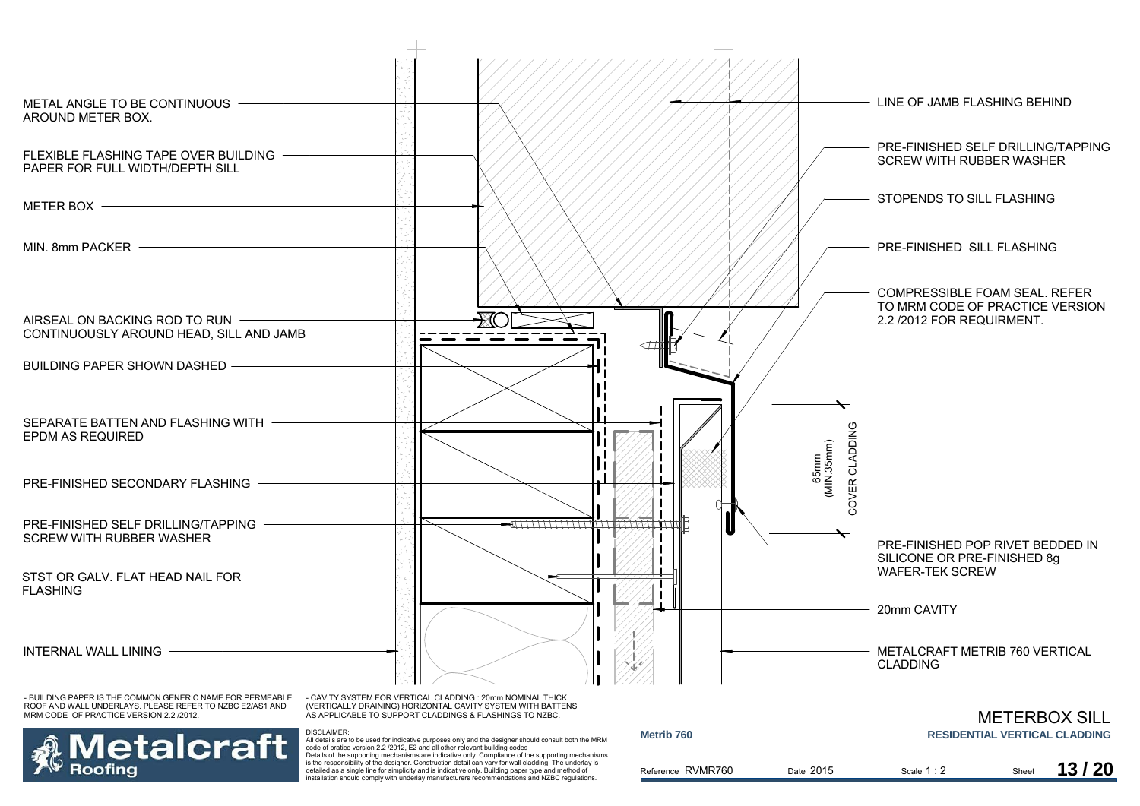![](_page_16_Figure_0.jpeg)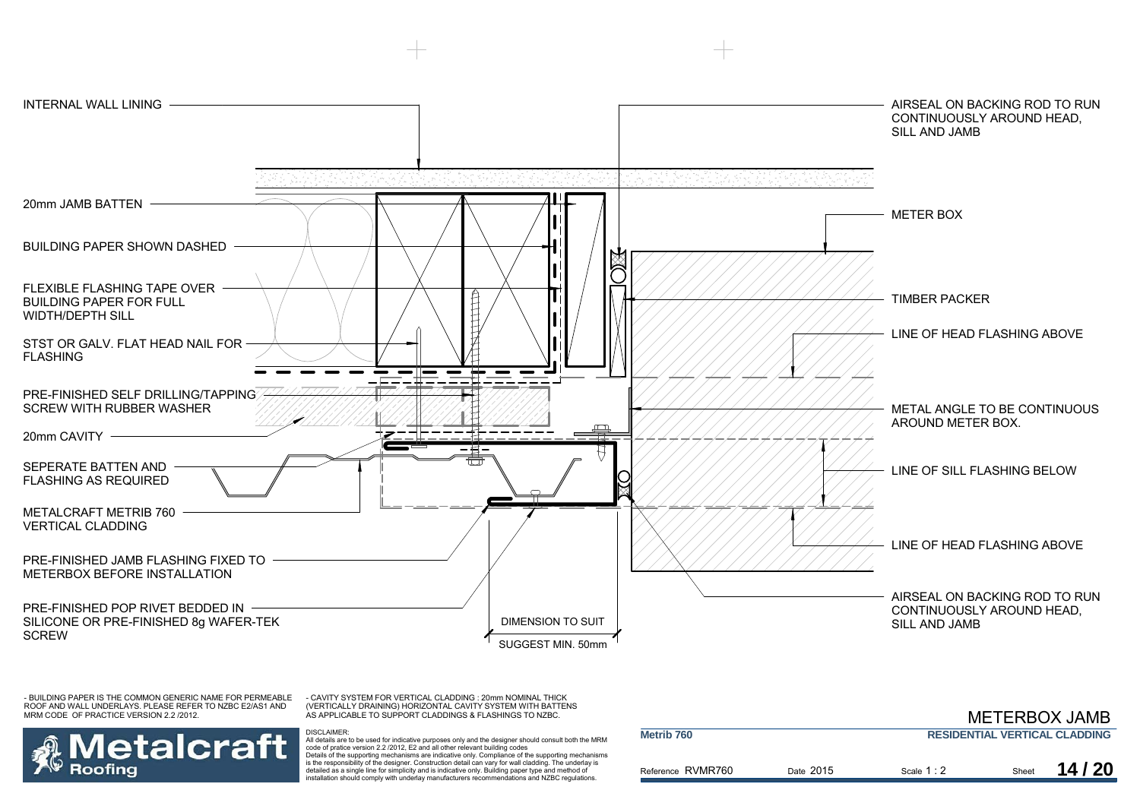![](_page_17_Figure_0.jpeg)

- CAVITY SYSTEM FOR VERTICAL CLADDING : 20mm NOMINAL THICK (VERTICALLY DRAINING) HORIZONTAL CAVITY SYSTEM WITH BATTENS AS APPLICABLE TO SUPPORT CLADDINGS & FLASHINGS TO NZBC.

DISCLAIMER:

![](_page_17_Picture_3.jpeg)

|                       |           |             |       | <b>METERBOX JAMB</b>                 |
|-----------------------|-----------|-------------|-------|--------------------------------------|
| Metrib <sub>760</sub> |           |             |       | <b>RESIDENTIAL VERTICAL CLADDING</b> |
| Reference RVMR760     | Date 2015 | Scale $1:2$ | Sheet | 14/20                                |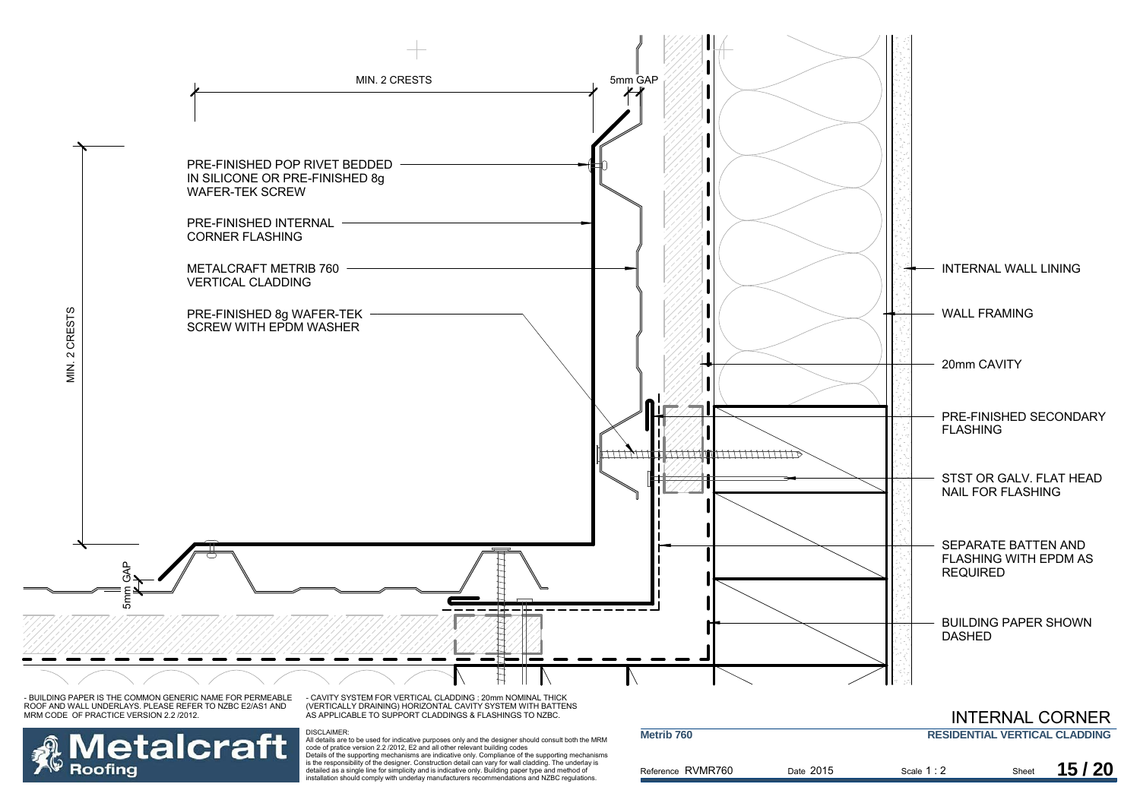![](_page_18_Figure_0.jpeg)

Referen

DISCLAIMER:<br>All details are to be used for indicative purposes only and the designer should consult both the MRM<br>code of pratice version 2.2 /2012, E2 and all other relevant building codes<br>Details of the supporting mechani is the responsibility of the designer. Construction detail can vary for wall cladding. The underlay is detailed as a single line for simplicity and is indicative only. Building paper type and method of installation should comply with underlay manufacturers recommendations and NZBC regulations.

**Roofing** 

| ce RVMR760 | Date 2015 | Scale $1:2$ | Sheet |
|------------|-----------|-------------|-------|
|            |           |             |       |
|            |           |             |       |

**15 / 20**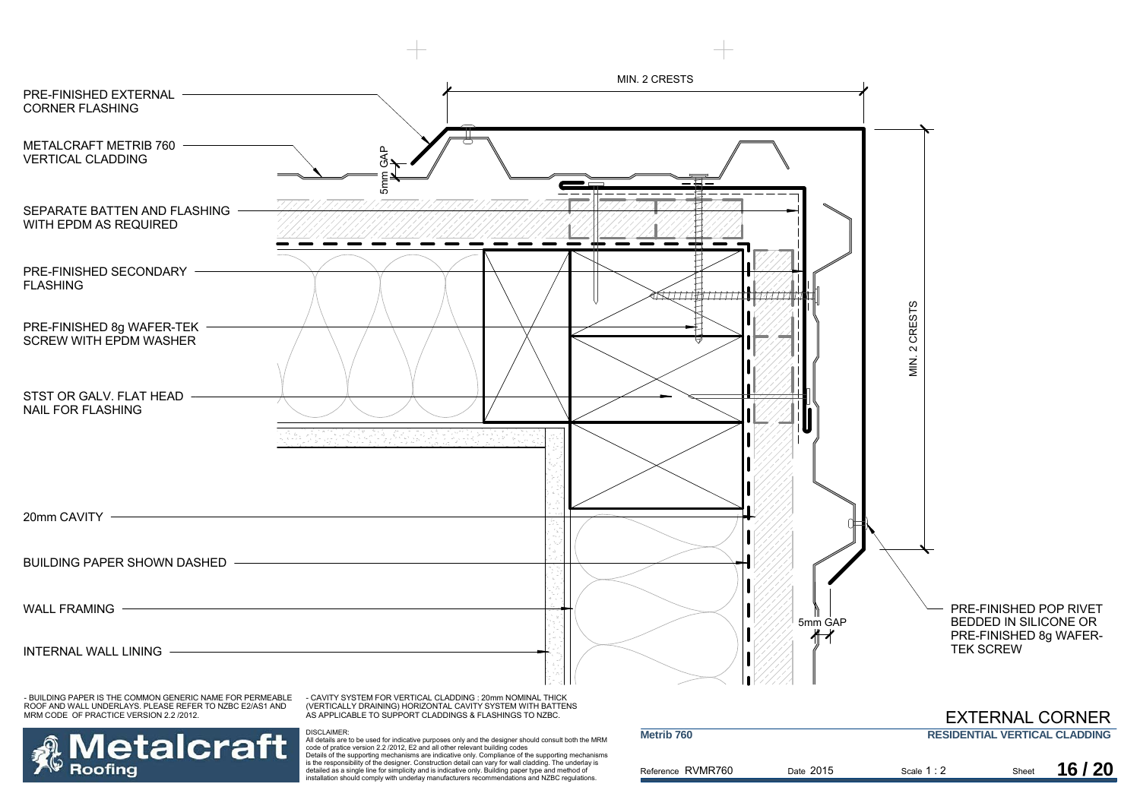![](_page_19_Figure_0.jpeg)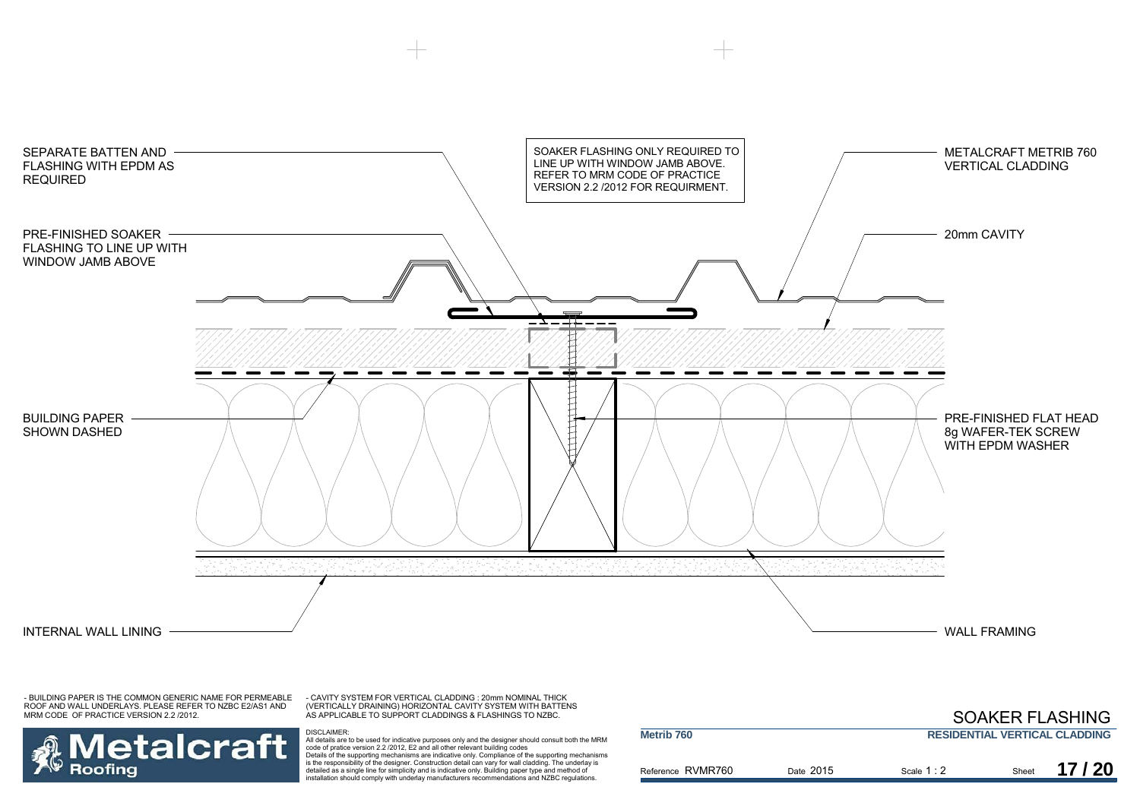![](_page_20_Figure_0.jpeg)

Roofing

**Metalcraft** 

- CAVITY SYSTEM FOR VERTICAL CLADDING : 20mm NOMINAL THICK (VERTICALLY DRAINING) HORIZONTAL CAVITY SYSTEM WITH BATTENS AS APPLICABLE TO SUPPORT CLADDINGS & FLASHINGS TO NZBC.

|                       |           |                                      |       | <b>SOAKER FLASHING</b> |
|-----------------------|-----------|--------------------------------------|-------|------------------------|
| Metrib <sub>760</sub> |           | <b>RESIDENTIAL VERTICAL CLADDING</b> |       |                        |
| Reference RVMR760     | Date 2015 | Scale $1:2$                          | Sheet | 17/20                  |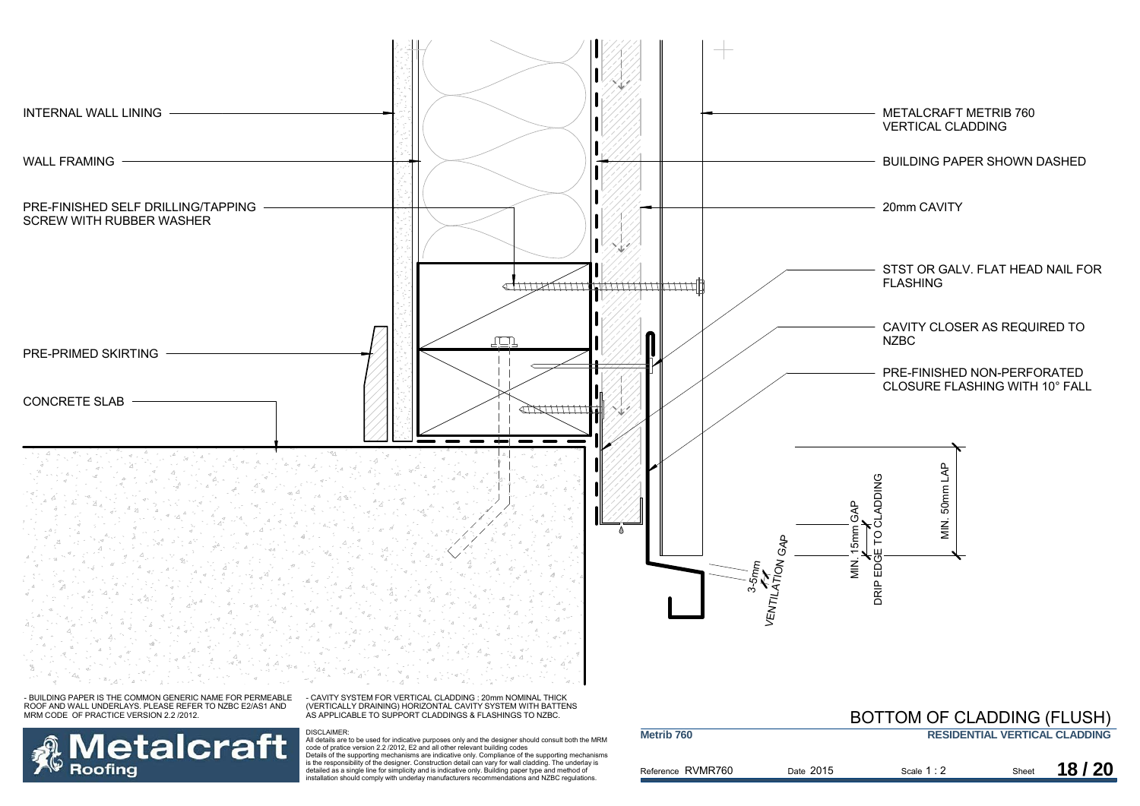![](_page_21_Figure_0.jpeg)

Reference RVMR760

**Metrib 760**

**Metalcraft** 

**Roofing** 

DISCLAIMER:<br>All details are to be used for indicative purposes only and the designer should consult both the MRM<br>code of pratice version 2.2 /2012, E2 and all other relevant building codes<br>Details of the supporting mechani is the responsibility of the designer. Construction detail can vary for wall cladding. The underlay is detailed as a single line for simplicity and is indicative only. Building paper type and method of installation should comply with underlay manufacturers recommendations and NZBC regulations.

|         |           | BUT TUM OF GLADDING (FLUSH) |       |                                      |
|---------|-----------|-----------------------------|-------|--------------------------------------|
|         |           |                             |       | <b>RESIDENTIAL VERTICAL CLADDING</b> |
| RVMR760 | Date 2015 | Scale 1:2                   | Sheet | 18/20                                |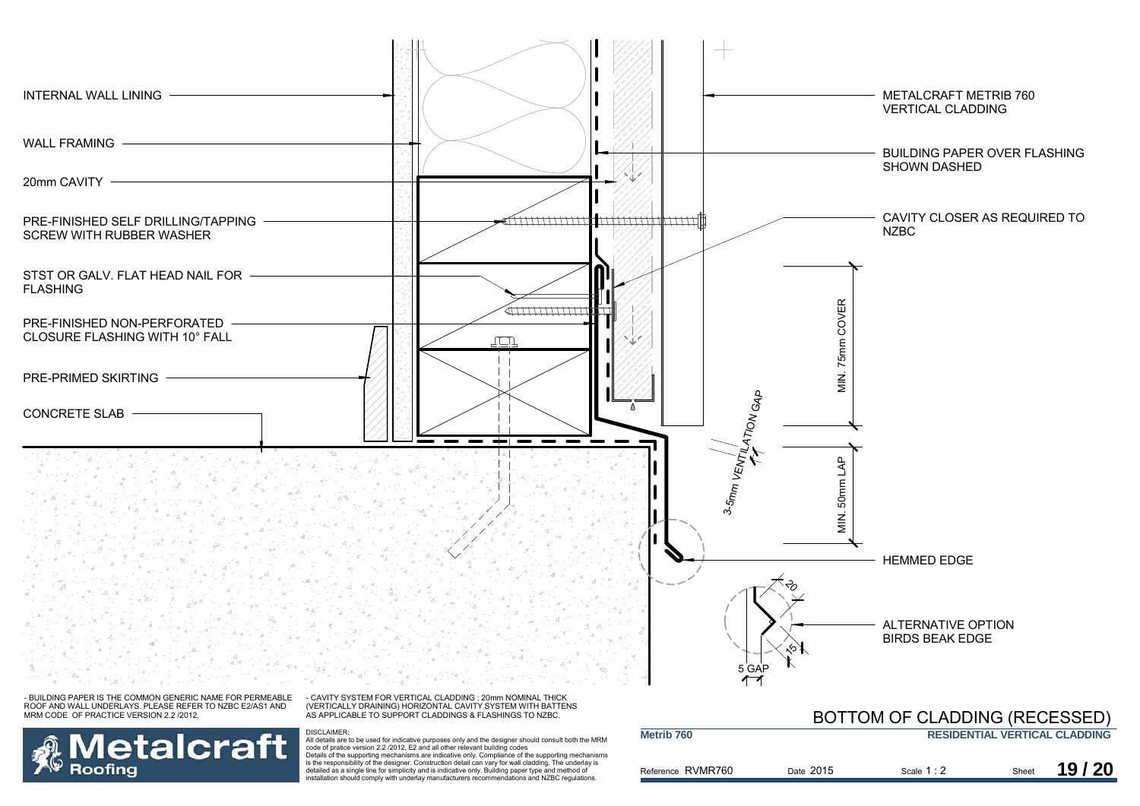![](_page_22_Figure_0.jpeg)

**Metalcraft** Roofina

DISCLAIMER:<br>All details are to be used for indicative purposes only and the designer should consult both the MRM<br>code of pratice version 2.2 /2012, E2 and all other relevant building codes<br>Details of the supporting mechani

is the responsibility of the designer. Construction detail can vary for wall cladding. The underlay is detailed as a single line for simplicity and is indicative only. Building paper type and method of installation should comply with underlay manufacturers recommendations and NZBC regulations.

| Metrib 760        |           |             |       | <b>RESIDENTIAL VERTICAL CLADDING</b> |
|-------------------|-----------|-------------|-------|--------------------------------------|
| Reference RVMR760 | Date 2015 | Scale $1:2$ | Sheet | 19/20                                |